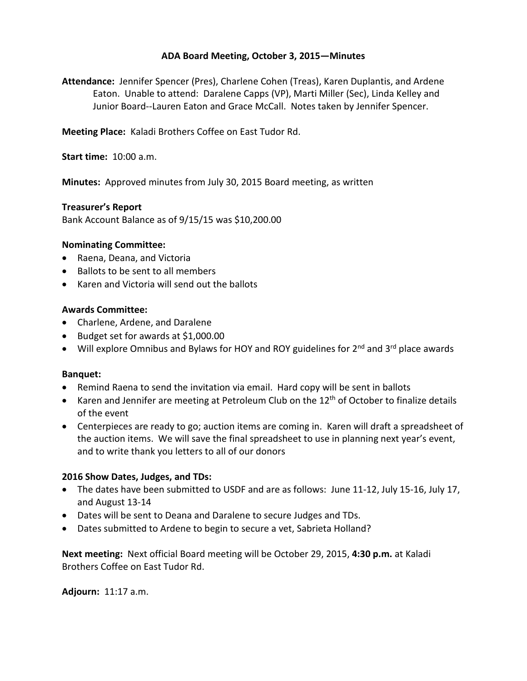# **ADA Board Meeting, October 3, 2015—Minutes**

**Attendance:** Jennifer Spencer (Pres), Charlene Cohen (Treas), Karen Duplantis, and Ardene Eaton. Unable to attend: Daralene Capps (VP), Marti Miller (Sec), Linda Kelley and Junior Board--Lauren Eaton and Grace McCall. Notes taken by Jennifer Spencer.

**Meeting Place:** Kaladi Brothers Coffee on East Tudor Rd.

**Start time:** 10:00 a.m.

**Minutes:** Approved minutes from July 30, 2015 Board meeting, as written

## **Treasurer's Report**

Bank Account Balance as of 9/15/15 was \$10,200.00

## **Nominating Committee:**

- Raena, Deana, and Victoria
- Ballots to be sent to all members
- Karen and Victoria will send out the ballots

## **Awards Committee:**

- Charlene, Ardene, and Daralene
- Budget set for awards at \$1,000.00
- Will explore Omnibus and Bylaws for HOY and ROY guidelines for  $2^{nd}$  and  $3^{rd}$  place awards

#### **Banquet:**

- Remind Raena to send the invitation via email. Hard copy will be sent in ballots
- Karen and Jennifer are meeting at Petroleum Club on the 12<sup>th</sup> of October to finalize details of the event
- Centerpieces are ready to go; auction items are coming in. Karen will draft a spreadsheet of the auction items. We will save the final spreadsheet to use in planning next year's event, and to write thank you letters to all of our donors

#### **2016 Show Dates, Judges, and TDs:**

- The dates have been submitted to USDF and are as follows: June 11-12, July 15-16, July 17, and August 13-14
- Dates will be sent to Deana and Daralene to secure Judges and TDs.
- Dates submitted to Ardene to begin to secure a vet, Sabrieta Holland?

**Next meeting:** Next official Board meeting will be October 29, 2015, **4:30 p.m.** at Kaladi Brothers Coffee on East Tudor Rd.

**Adjourn:** 11:17 a.m.